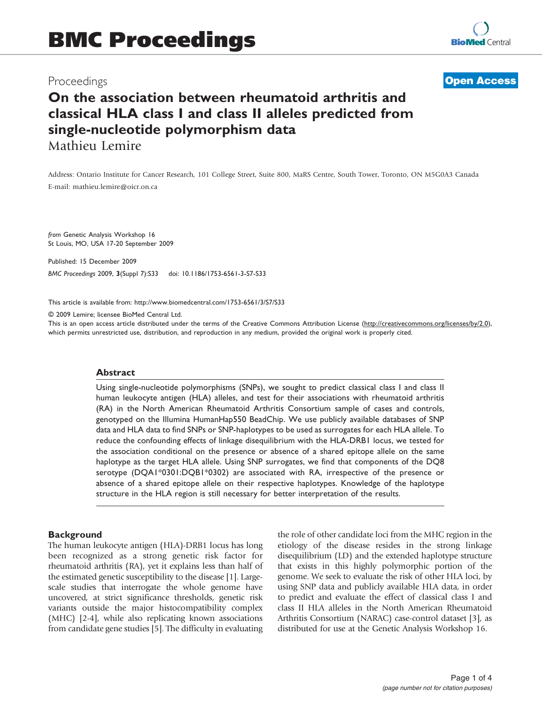## Proceedings

## **[Open Access](http://www.biomedcentral.com/info/about/charter/)**

# On the association between rheumatoid arthritis and classical HLA class I and class II alleles predicted from single-nucleotide polymorphism data Mathieu Lemire

Address: Ontario Institute for Cancer Research, 101 College Street, Suite 800, MaRS Centre, South Tower, Toronto, ON M5G0A3 Canada E-mail: [mathieu.lemire@oicr.on.ca](mailto:mathieu.lemire@oicr.on.ca)

from Genetic Analysis Workshop 16 St Louis, MO, USA 17-20 September 2009

Published: 15 December 2009

BMC Proceedings 2009, 3(Suppl 7):S33 doi: 10.1186/1753-6561-3-S7-S33

This article is available from: http://www.biomedcentral.com/1753-6561/3/S7/S33

© 2009 Lemire; licensee BioMed Central Ltd.

This is an open access article distributed under the terms of the Creative Commons Attribution License [\(http://creativecommons.org/licenses/by/2.0\)](http://creativecommons.org/licenses/by/2.0), which permits unrestricted use, distribution, and reproduction in any medium, provided the original work is properly cited.

#### Abstract

Using single-nucleotide polymorphisms (SNPs), we sought to predict classical class I and class II human leukocyte antigen (HLA) alleles, and test for their associations with rheumatoid arthritis (RA) in the North American Rheumatoid Arthritis Consortium sample of cases and controls, genotyped on the Illumina HumanHap550 BeadChip. We use publicly available databases of SNP data and HLA data to find SNPs or SNP-haplotypes to be used as surrogates for each HLA allele. To reduce the confounding effects of linkage disequilibrium with the HLA-DRB1 locus, we tested for the association conditional on the presence or absence of a shared epitope allele on the same haplotype as the target HLA allele. Using SNP surrogates, we find that components of the DQ8 serotype (DQA1\*0301:DQB1\*0302) are associated with RA, irrespective of the presence or absence of a shared epitope allele on their respective haplotypes. Knowledge of the haplotype structure in the HLA region is still necessary for better interpretation of the results.

#### **Background**

The human leukocyte antigen (HLA)-DRB1 locus has long been recognized as a strong genetic risk factor for rheumatoid arthritis (RA), yet it explains less than half of the estimated genetic susceptibility to the disease [\[1\]](#page-3-0). Largescale studies that interrogate the whole genome have uncovered, at strict significance thresholds, genetic risk variants outside the major histocompatibility complex (MHC) [[2-4](#page-3-0)], while also replicating known associations from candidate gene studies [\[5\]](#page-3-0). The difficulty in evaluating the role of other candidate loci from the MHC region in the etiology of the disease resides in the strong linkage disequilibrium (LD) and the extended haplotype structure that exists in this highly polymorphic portion of the genome. We seek to evaluate the risk of other HLA loci, by using SNP data and publicly available HLA data, in order to predict and evaluate the effect of classical class I and class II HLA alleles in the North American Rheumatoid Arthritis Consortium (NARAC) case-control dataset [[3](#page-3-0)], as distributed for use at the Genetic Analysis Workshop 16.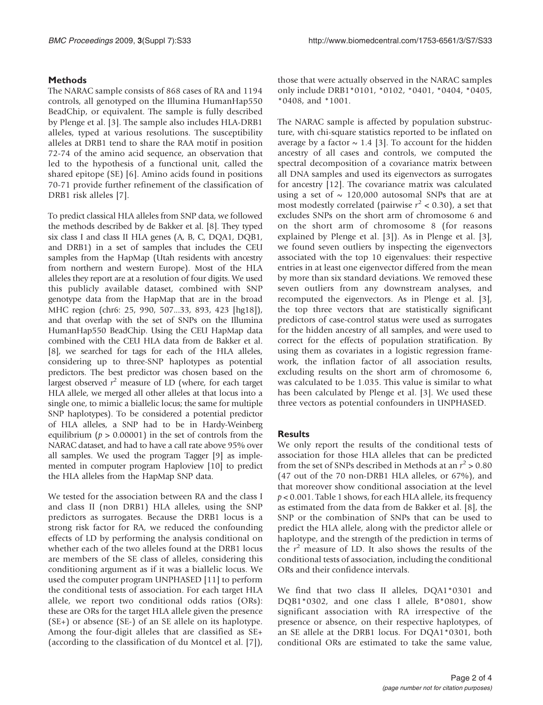## Methods

The NARAC sample consists of 868 cases of RA and 1194 controls, all genotyped on the Illumina HumanHap550 BeadChip, or equivalent. The sample is fully described by Plenge et al. [[3](#page-3-0)]. The sample also includes HLA-DRB1 alleles, typed at various resolutions. The susceptibility alleles at DRB1 tend to share the RAA motif in position 72-74 of the amino acid sequence, an observation that led to the hypothesis of a functional unit, called the shared epitope (SE) [[6](#page-3-0)]. Amino acids found in positions 70-71 provide further refinement of the classification of DRB1 risk alleles [[7](#page-3-0)].

To predict classical HLA alleles from SNP data, we followed the methods described by de Bakker et al. [\[8\]](#page-3-0). They typed six class I and class II HLA genes (A, B, C, DQA1, DQB1, and DRB1) in a set of samples that includes the CEU samples from the HapMap (Utah residents with ancestry from northern and western Europe). Most of the HLA alleles they report are at a resolution of four digits. We used this publicly available dataset, combined with SNP genotype data from the HapMap that are in the broad MHC region (chr6: 25, 990, 507...33, 893, 423 [hg18]), and that overlap with the set of SNPs on the Illumina HumanHap550 BeadChip. Using the CEU HapMap data combined with the CEU HLA data from de Bakker et al. [\[8\]](#page-3-0), we searched for tags for each of the HLA alleles, considering up to three-SNP haplotypes as potential predictors. The best predictor was chosen based on the largest observed  $r^2$  measure of LD (where, for each target HLA allele, we merged all other alleles at that locus into a single one, to mimic a biallelic locus; the same for multiple SNP haplotypes). To be considered a potential predictor of HLA alleles, a SNP had to be in Hardy-Weinberg equilibrium ( $p > 0.00001$ ) in the set of controls from the NARAC dataset, and had to have a call rate above 95% over all samples. We used the program Tagger [\[9](#page-3-0)] as implemented in computer program Haploview [\[10](#page-3-0)] to predict the HLA alleles from the HapMap SNP data.

We tested for the association between RA and the class I and class II (non DRB1) HLA alleles, using the SNP predictors as surrogates. Because the DRB1 locus is a strong risk factor for RA, we reduced the confounding effects of LD by performing the analysis conditional on whether each of the two alleles found at the DRB1 locus are members of the SE class of alleles, considering this conditioning argument as if it was a biallelic locus. We used the computer program UNPHASED [[11\]](#page-3-0) to perform the conditional tests of association. For each target HLA allele, we report two conditional odds ratios (ORs): these are ORs for the target HLA allele given the presence (SE+) or absence (SE-) of an SE allele on its haplotype. Among the four-digit alleles that are classified as SE+ (according to the classification of du Montcel et al. [[7](#page-3-0)]),

those that were actually observed in the NARAC samples only include DRB1\*0101, \*0102, \*0401, \*0404, \*0405, \*0408, and \*1001.

The NARAC sample is affected by population substructure, with chi-square statistics reported to be inflated on average by a factor  $\sim$  1.4 [\[3\]](#page-3-0). To account for the hidden ancestry of all cases and controls, we computed the spectral decomposition of a covariance matrix between all DNA samples and used its eigenvectors as surrogates for ancestry [\[12\]](#page-3-0). The covariance matrix was calculated using a set of  $\sim 120,000$  autosomal SNPs that are at most modestly correlated (pairwise  $r^2$  < 0.30), a set that excludes SNPs on the short arm of chromosome 6 and on the short arm of chromosome 8 (for reasons explained by Plenge et al. [[3](#page-3-0)]). As in Plenge et al. [[3](#page-3-0)], we found seven outliers by inspecting the eigenvectors associated with the top 10 eigenvalues: their respective entries in at least one eigenvector differed from the mean by more than six standard deviations. We removed these seven outliers from any downstream analyses, and recomputed the eigenvectors. As in Plenge et al. [[3](#page-3-0)], the top three vectors that are statistically significant predictors of case-control status were used as surrogates for the hidden ancestry of all samples, and were used to correct for the effects of population stratification. By using them as covariates in a logistic regression framework, the inflation factor of all association results, excluding results on the short arm of chromosome 6, was calculated to be 1.035. This value is similar to what has been calculated by Plenge et al. [[3](#page-3-0)]. We used these three vectors as potential confounders in UNPHASED.

## **Results**

We only report the results of the conditional tests of association for those HLA alleles that can be predicted from the set of SNPs described in Methods at an  $r^2 > 0.80$ (47 out of the 70 non-DRB1 HLA alleles, or 67%), and that moreover show conditional association at the level  $p < 0.001$ . [Table 1](#page-2-0) shows, for each HLA allele, its frequency as estimated from the data from de Bakker et al. [\[8\]](#page-3-0), the SNP or the combination of SNPs that can be used to predict the HLA allele, along with the predictor allele or haplotype, and the strength of the prediction in terms of the  $r<sup>2</sup>$  measure of LD. It also shows the results of the conditional tests of association, including the conditional ORs and their confidence intervals.

We find that two class II alleles, DQA1\*0301 and DQB1\*0302, and one class I allele, B\*0801, show significant association with RA irrespective of the presence or absence, on their respective haplotypes, of an SE allele at the DRB1 locus. For DQA1\*0301, both conditional ORs are estimated to take the same value,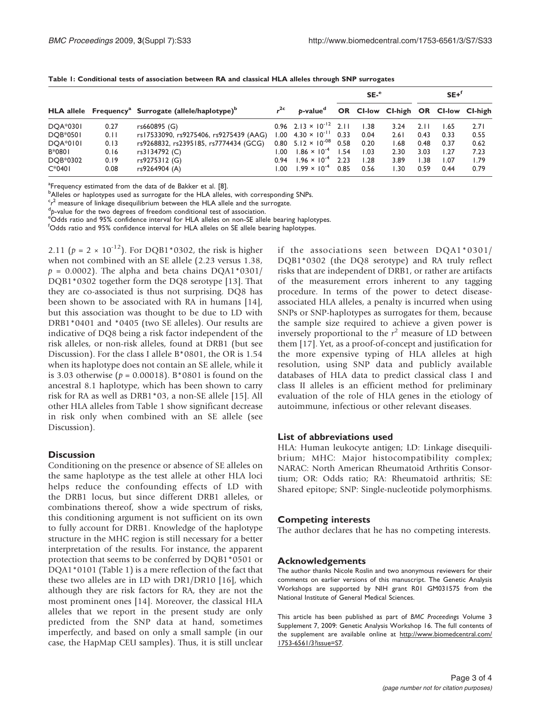|                 |      |                                                                             |       |                                              | $SE-$ <sup>e</sup> |      |                                     | $SE+$ <sup>f</sup> |      |      |
|-----------------|------|-----------------------------------------------------------------------------|-------|----------------------------------------------|--------------------|------|-------------------------------------|--------------------|------|------|
|                 |      | HLA allele Frequency <sup>a</sup> Surrogate (allele/haplotype) <sup>b</sup> |       | b-value <sup>d</sup>                         |                    |      | OR CI-low CI-high OR CI-low CI-high |                    |      |      |
| DOA*0301        | 0.27 | rs660895 (G)                                                                |       | $0.96$ 2.13 $\times$ 10 <sup>-12</sup> 2.11  |                    | 1.38 | 3.24                                | 2.11               | 1.65 | 2.71 |
| <b>DOB*0501</b> | 0.11 | rs17533090, rs9275406, rs9275439 (AAG)                                      |       | $1.00 \quad 4.30 \times 10^{-11} \quad 0.33$ |                    | 0.04 | 2.61                                | 0.43               | 0.33 | 0.55 |
| <b>DOA*0101</b> | 0.13 | rs9268832, rs2395185, rs7774434 (GCG)                                       |       | $0.80$ 5.12 $\times$ 10 <sup>-08</sup>       | 0.58               | 0.20 | 1.68                                | 0.48               | 0.37 | 0.62 |
| B*0801          | 0.16 | rs3134792 (C)                                                               | 00. ا | $1.86 \times 10^{-4}$                        | 1.54               | 1.03 | 2.30                                | 3.03               | 1.27 | 7.23 |
| DOB*0302        | 0.19 | rs9275312 (G)                                                               | 0.94  | $1.96 \times 10^{-4}$                        | 2.23               | 1.28 | 3.89                                | .38                | 1.07 | 1.79 |
| $C*0401$        | 0.08 | rs9264904 (A)                                                               | 00.1  | $1.99 \times 10^{-4}$                        | 0.85               | 0.56 | 1.30                                | 0.59               | 0.44 | 0.79 |

<span id="page-2-0"></span>Table 1: Conditional tests of association between RA and classical HLA alleles through SNP surrogates

<sup>a</sup>Frequency estimated from the data of de Bakker et al. [[8](#page-3-0)].

**b**<br>Alleles or haplotypes used as surrogate for the HLA alleles, with corresponding SNPs.

 $\frac{c_{r^2}}{a}$  measure of linkage disequilibrium between the HLA allele and the surrogate.

 ${}^{\text{d}}$ p-value for the two degrees of freedom conditional test of association.

<sup>e</sup>Odds ratio and 95% confidence interval for HLA alleles on non-SE allele bearing haplotypes.

f Odds ratio and 95% confidence interval for HLA alleles on SE allele bearing haplotypes.

2.11 ( $p = 2 \times 10^{-12}$ ). For DQB1\*0302, the risk is higher when not combined with an SE allele (2.23 versus 1.38,  $p = 0.0002$ ). The alpha and beta chains DQA1\*0301/ DQB1\*0302 together form the DQ8 serotype [\[13](#page-3-0)]. That they are co-associated is thus not surprising. DQ8 has been shown to be associated with RA in humans [\[14](#page-3-0)], but this association was thought to be due to LD with DRB1\*0401 and \*0405 (two SE alleles). Our results are indicative of DQ8 being a risk factor independent of the risk alleles, or non-risk alleles, found at DRB1 (but see Discussion). For the class I allele B\*0801, the OR is 1.54 when its haplotype does not contain an SE allele, while it is 3.03 otherwise ( $p = 0.00018$ ). B\*0801 is found on the ancestral 8.1 haplotype, which has been shown to carry risk for RA as well as DRB1\*03, a non-SE allele [\[15](#page-3-0)]. All other HLA alleles from Table 1 show significant decrease in risk only when combined with an SE allele (see Discussion).

## **Discussion**

Conditioning on the presence or absence of SE alleles on the same haplotype as the test allele at other HLA loci helps reduce the confounding effects of LD with the DRB1 locus, but since different DRB1 alleles, or combinations thereof, show a wide spectrum of risks, this conditioning argument is not sufficient on its own to fully account for DRB1. Knowledge of the haplotype structure in the MHC region is still necessary for a better interpretation of the results. For instance, the apparent protection that seems to be conferred by DQB1\*0501 or DQA1\*0101 (Table 1) is a mere reflection of the fact that these two alleles are in LD with DR1/DR10 [[16](#page-3-0)], which although they are risk factors for RA, they are not the most prominent ones [[14\]](#page-3-0). Moreover, the classical HLA alleles that we report in the present study are only predicted from the SNP data at hand, sometimes imperfectly, and based on only a small sample (in our case, the HapMap CEU samples). Thus, it is still unclear if the associations seen between DQA1\*0301/ DQB1\*0302 (the DQ8 serotype) and RA truly reflect risks that are independent of DRB1, or rather are artifacts of the measurement errors inherent to any tagging procedure. In terms of the power to detect diseaseassociated HLA alleles, a penalty is incurred when using SNPs or SNP-haplotypes as surrogates for them, because the sample size required to achieve a given power is inversely proportional to the  $r^2$  measure of LD between them [[17](#page-3-0)]. Yet, as a proof-of-concept and justification for the more expensive typing of HLA alleles at high resolution, using SNP data and publicly available databases of HLA data to predict classical class I and class II alleles is an efficient method for preliminary evaluation of the role of HLA genes in the etiology of autoimmune, infectious or other relevant diseases.

#### List of abbreviations used

HLA: Human leukocyte antigen; LD: Linkage disequilibrium; MHC: Major histocompatibility complex; NARAC: North American Rheumatoid Arthritis Consortium; OR: Odds ratio; RA: Rheumatoid arthritis; SE: Shared epitope; SNP: Single-nucleotide polymorphisms.

### Competing interests

The author declares that he has no competing interests.

#### Acknowledgements

The author thanks Nicole Roslin and two anonymous reviewers for their comments on earlier versions of this manuscript. The Genetic Analysis Workshops are supported by NIH grant R01 GM031575 from the National Institute of General Medical Sciences.

This article has been published as part of BMC Proceedings Volume 3 Supplement 7, 2009: Genetic Analysis Workshop 16. The full contents of the supplement are available online at [http://www.biomedcentral.com/](http://www.biomedcentral.com/1753-6561/3?issue=S7) [1753-6561/3?issue=S7](http://www.biomedcentral.com/1753-6561/3?issue=S7).